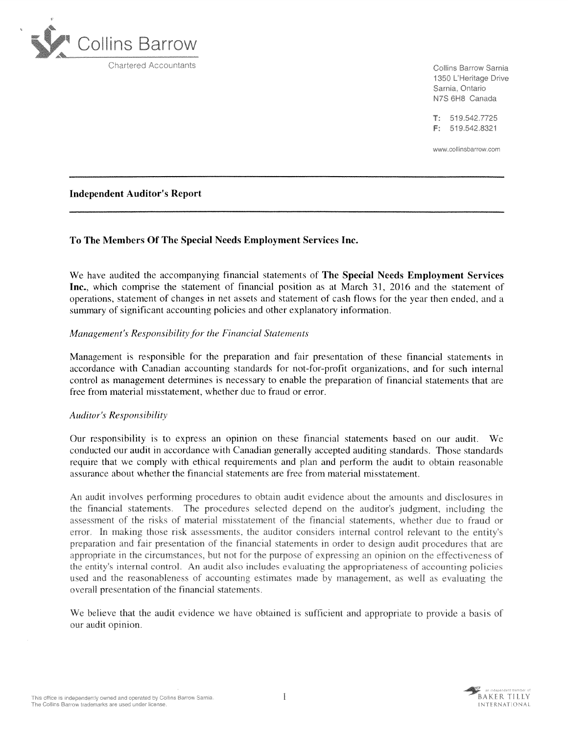

Collins Barrow Sarnia 1350 L'Heritage Drive Sarnia, Ontario N7S 6H8 Canada

T: 519.542.7725 F: 519.542.8321

www.collinsbarrow.com

## Independent Auditor's Report

## To The Members Of The Special Needs Employment Services Inc.

We have audited the accompanying financial statements of The Special Needs Employment Services Inc., which comprise the statement of financial position as at March 31, 2016 and the statement of operations, statement of changes in net assets and statement of cash flows for the year then ended, and <sup>a</sup> summary of significant accounting policies and other explanatory information.

#### Management's Responsibility for the Financial Statements

Management is responsible for the preparation and fair presentation of these financial statements in accordance with Canadian accounting standards for not-for-profit organizations, and for such internal control as managemen<sup>t</sup> determines is necessary to enable the preparation of financial statements that are free from material misstatement, whether due to fraud or error.

#### Auditor's Responsibility

Our responsibility is to express an opinion on these financial statements based on our audit. We conducted our audit in accordance with Canadian generally accepted auditing standards Those standards require that we comply with ethical requirements and plan and perform the audit to obtain reasonable assurance about whether the financial statements are free from material misstatement.

An audit involves performing procedures to obtain audit evidence about the amounts and disclosures in the financial statements. The procedures selected depend on the auditor's judgment, including the assessment of the risks of material misstatement of the financial statements, whether due to fraud or error. In making those risk assessments, the auditor considers internal control relevant to the entity's preparation and fair presentation of the financial statements in order to design audit procedures that are appropriate in the circumstances, but not for the purpose of expressing an opinion on the effectiveness of the entity's internal control. An audit also includes evaluating the appropriateness of accounting policies used and the reasonableness of accounting estimates made by management, as well as evaluating the overall presentation of the financial statements

We believe that the audit evidence we have obtained is sufficient and appropriate to provide a basis of our audit opinion

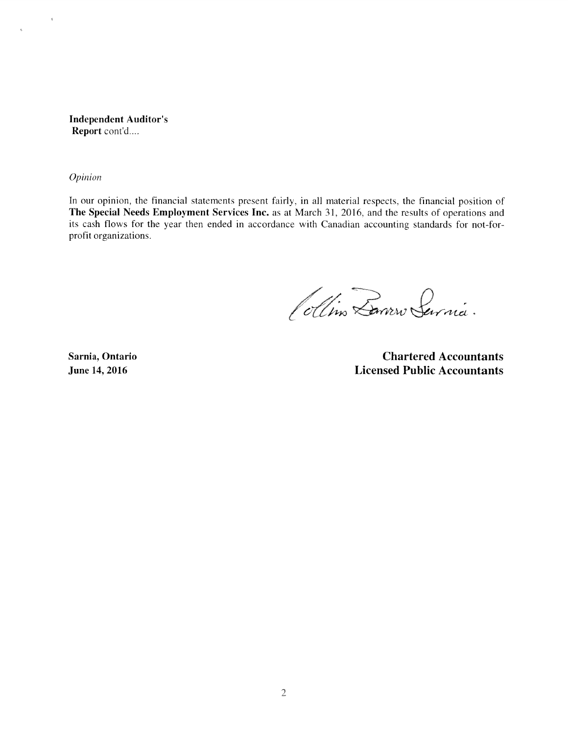Independent Auditor's Report cont'd....

Opinion

 $\bar{\zeta}$ 

In our opinion, the financial statements presen<sup>t</sup> fairly, in all material respects, the financial position of The Special Needs Employment Services Inc. as at March 31. 2016, and the results of operations and its cash flows for the year then ended in accordance with Canadian accounting standards for not-forprofit organizations.

Collin Larrer Service.

Sarnia, Ontario Chartered Accountants June 14, 2016 Licensed Public Accountants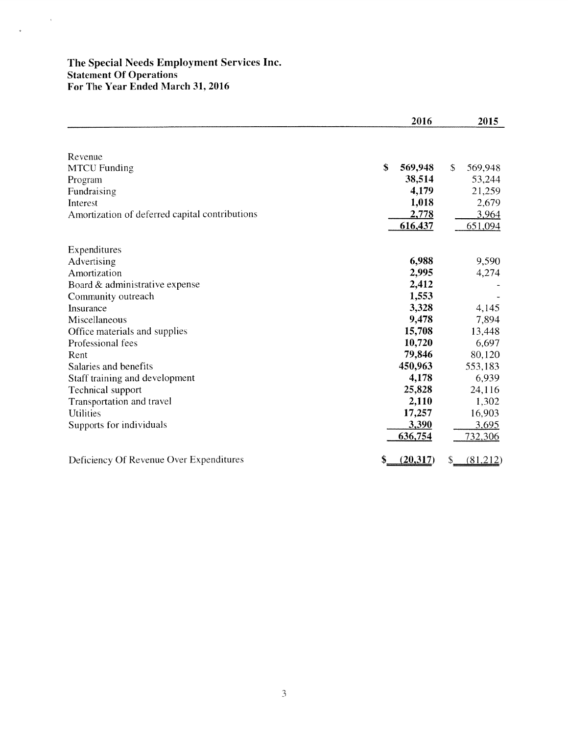## The Special Needs Employment Services Inc. Statement Of Operations For The Year Ended March 31, 2016

 $\label{eq:3.1} \frac{1}{\left\| \mathbf{r} \right\|} = \frac{1}{\left\| \mathbf{r} \right\|}$  where

|                                                | 2016          | 2015          |
|------------------------------------------------|---------------|---------------|
|                                                |               |               |
| Revenue                                        |               |               |
| <b>MTCU</b> Funding                            | \$<br>569,948 | S<br>569,948  |
| Program                                        | 38,514        | 53,244        |
| Fundraising                                    | 4,179         | 21,259        |
| Interest                                       | 1,018         | 2,679         |
| Amortization of deferred capital contributions | 2,778         | 3,964         |
|                                                | 616,437       | 651,094       |
| Expenditures                                   |               |               |
| Advertising                                    | 6,988         | 9,590         |
| Amortization                                   | 2,995         | 4,274         |
| Board & administrative expense                 | 2,412         |               |
| Community outreach                             | 1,553         |               |
| Insurance                                      | 3,328         | 4,145         |
| Miscellaneous                                  | 9,478         | 7,894         |
| Office materials and supplies                  | 15,708        | 13,448        |
| Professional fees                              | 10,720        | 6,697         |
| Rent                                           | 79,846        | 80,120        |
| Salaries and benefits                          | 450,963       | 553,183       |
| Staff training and development                 | 4,178         | 6,939         |
| Technical support                              | 25,828        | 24,116        |
| Transportation and travel                      | 2,110         | 1,302         |
| <b>Utilities</b>                               | 17,257        | 16,903        |
| Supports for individuals                       | 3,390         | 3,695         |
|                                                | 636,754       | 732,306       |
| Deficiency Of Revenue Over Expenditures        | (20,317)      | (81,212)<br>S |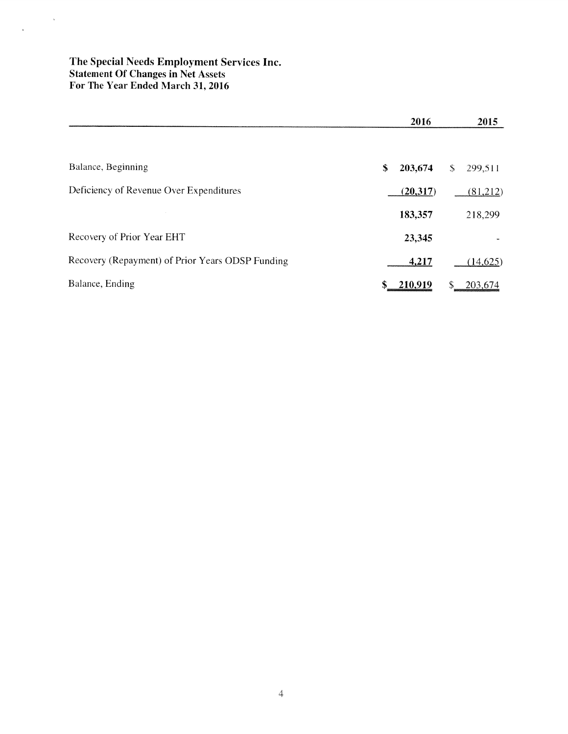## The Special Needs Employment Services Inc. Statement Of Changes in Net Assets For The Year Ended March 31. 2016

 $\langle \rangle_{\Psi}$ 

 $\bar{\star}$ 

|                                                  | 2016          | 2015                    |
|--------------------------------------------------|---------------|-------------------------|
|                                                  |               |                         |
| Balance, Beginning                               | \$<br>203,674 | $\mathbb{S}$<br>299,511 |
| Deficiency of Revenue Over Expenditures          | (20, 317)     | (81,212)                |
|                                                  | 183,357       | 218,299                 |
| Recovery of Prior Year EHT                       | 23,345        |                         |
| Recovery (Repayment) of Prior Years ODSP Funding | 4,217         | (14, 625)               |
| Balance, Ending                                  | 210,919<br>\$ | 203,674                 |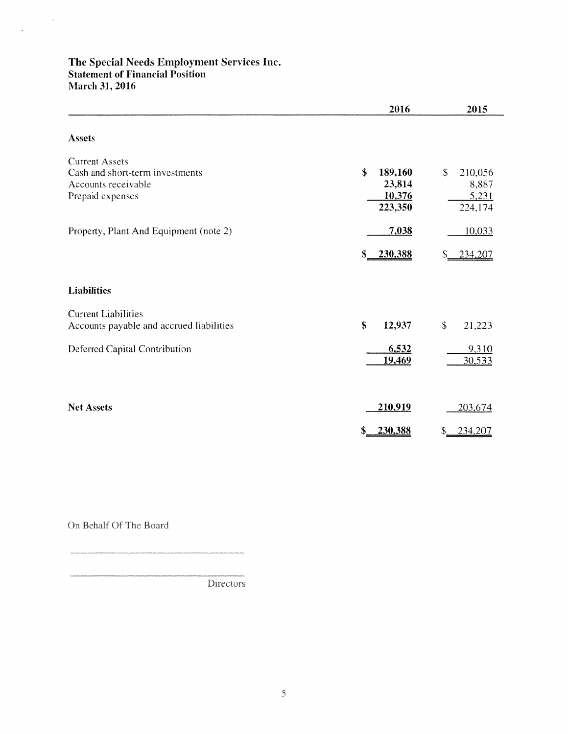# The Special Needs Employment Services Inc. Statement of Financial Position March 31, 2016

 $\chi$ 

 $\mathcal{L}^{\pm}$ 

|                                                                                                     | 2016                                         | 2015                                                 |
|-----------------------------------------------------------------------------------------------------|----------------------------------------------|------------------------------------------------------|
| <b>Assets</b>                                                                                       |                                              |                                                      |
| <b>Current Assets</b><br>Cash and short-term investments<br>Accounts receivable<br>Prepaid expenses | \$<br>189,160<br>23,814<br>10,376<br>223,350 | $\mathbb{S}$<br>210,056<br>8,887<br>5,231<br>224,174 |
| Property, Plant And Equipment (note 2)                                                              | 7,038                                        | 10,033                                               |
|                                                                                                     | 230,388<br>\$                                | 234,207<br>S.                                        |
| <b>Liabilities</b>                                                                                  |                                              |                                                      |
| <b>Current Liabilities</b><br>Accounts payable and accrued liabilities                              | \$<br>12,937                                 | \$<br>21,223                                         |
| Deferred Capital Contribution                                                                       | 6,532<br>19,469                              | 9,310<br>30,533                                      |
| <b>Net Assets</b>                                                                                   | 210,919                                      | 203,674                                              |
|                                                                                                     | 230,388<br>\$                                | 234,207<br>\$                                        |

On Behalf Of The Board

Directors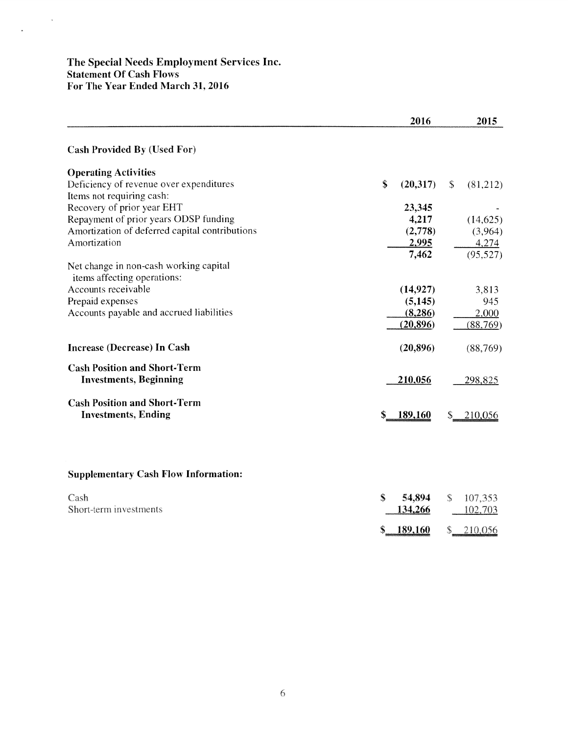The Special Needs Employment Services Inc. Statement Of Cash Flows For The Year Ended March 31, 2016

 $\mathcal{A}$ 

 $\omega$ 

|                                                                       | 2016            | 2015                     |
|-----------------------------------------------------------------------|-----------------|--------------------------|
| <b>Cash Provided By (Used For)</b>                                    |                 |                          |
| <b>Operating Activities</b>                                           |                 |                          |
| Deficiency of revenue over expenditures<br>Items not requiring cash:  | \$<br>(20, 317) | $\mathbb{S}$<br>(81,212) |
| Recovery of prior year EHT                                            | 23,345          |                          |
| Repayment of prior years ODSP funding                                 | 4,217           | (14,625)                 |
| Amortization of deferred capital contributions                        | (2,778)         | (3,964)                  |
| Amortization                                                          | 2,995           | 4,274                    |
|                                                                       | 7,462           | (95, 527)                |
| Net change in non-cash working capital<br>items affecting operations: |                 |                          |
| Accounts receivable                                                   | (14, 927)       | 3,813                    |
| Prepaid expenses                                                      | (5,145)         | 945                      |
| Accounts payable and accrued liabilities                              | (8,286)         | 2,000                    |
|                                                                       | (20,896)        | (88, 769)                |
| Increase (Decrease) In Cash                                           | (20, 896)       | (88, 769)                |
| <b>Cash Position and Short-Term</b>                                   |                 |                          |
| <b>Investments, Beginning</b>                                         | 210,056         | 298,825                  |
| <b>Cash Position and Short-Term</b>                                   |                 |                          |
| <b>Investments</b> , Ending                                           | 189,160<br>\$   | \$ 210,056               |
|                                                                       |                 |                          |
| <b>Supplementary Cash Flow Information:</b>                           |                 |                          |
| Cash                                                                  | \$<br>54,894    | S<br>107,353             |
| Short-term investments                                                | 134,266         | 102,703                  |
|                                                                       | \$<br>189,160   | 210,056<br>S             |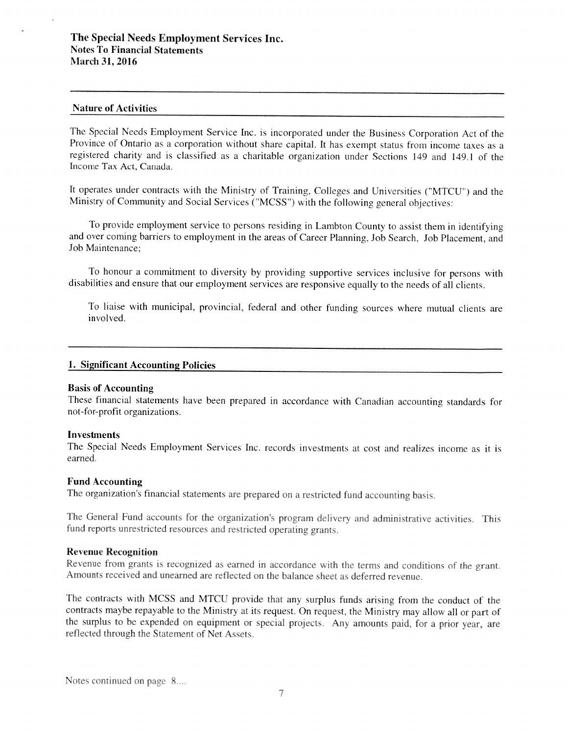#### Nature of Activities

The Special Needs Employment Service Inc. is incorporated under the Business Corporation Act of the Province of Ontario as <sup>a</sup> corporation without share capital. It has exempt status from income taxes as <sup>a</sup> registered charity and is classified as <sup>a</sup> charitable organization under Sections <sup>149</sup> and 149.1 of the Income Tax Act, Canada.

It operates under contracts with the Ministry of Training. Colleges and Universities ("MTCU) and the Ministry of Community and Social Services ('MCSS") with the following general objectives:

To provide employment service to persons residing in Lambton County to assist them in identifying and over coming barriers to employment in the areas of Career Planning, Job Search, Job Placement, and Job Maintenance;

To honour <sup>a</sup> commitment to diversity by providing supportive services inclusive for persons with disabilities and ensure that our employment services are responsive equally to the needs of all clients.

To liaise with municipal, provincial, federal and other funding sources where mutual clients are involved.

### 1. Significant Accounting Policies

#### Basis of Accounting

These financial statements have been prepared in accordance with Canadian accounting standards for not-for-profit organizations.

#### Investments

The Special Needs Employment Services Inc. records investments at cost and realizes income as it is earned.

#### Fund Accounting

The organization's financial statements are prepared on a restricted fund accounting basis.

The General Fund accounts for the organization's program delivery and administrative activities. This fund reports unrestricted resources and restricted operating grants,

### Revenue Recognition

Revenue from grants is recognized as earned in accordance with the terms and conditions of the grant. Amounts received and unearned are reflected on the balance sheet as deferred revenue.

The contracts with MCSS and MTCU provide that any surplus funds arising from the conduct of the contracts maybe repayable to the Ministry at its request. On request, the Ministry may allow all or part of the surplus to be expended on equipment or special projects. Any amounts paid, for a prior year, are reflected through the Statement of Net Assets.

Notes continued on page 8....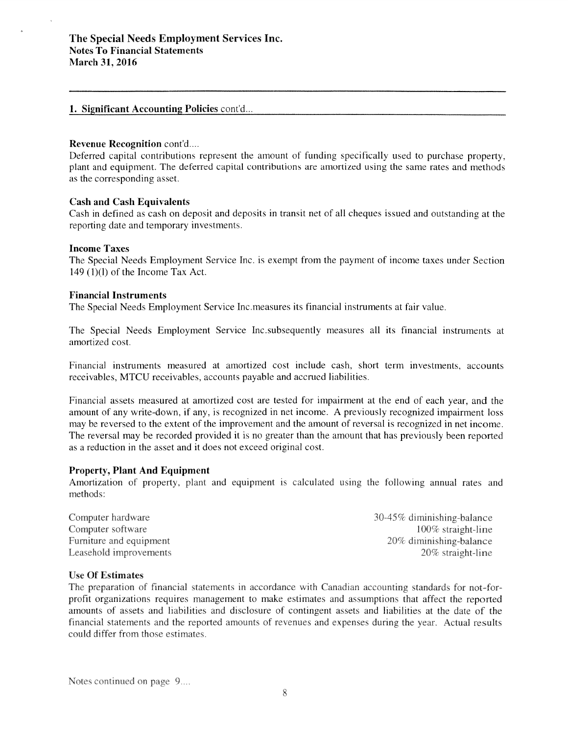# The Special Needs Employment Services Inc. Notes To Financial Statements March 31, 2016

## 1. Significant Accounting Policies cont'd...

### Revenue Recognition cont'd....

Deferred capital contributions represen<sup>t</sup> the amount of funding specifically used to purchase property, plant and equipment. The deferred capital contributions are amortized using the same rates and methods as the corresponding asset.

# Cash and Cash Equivalents

Cash in defined as cash on deposit and deposits in transit net of all cheques issued and outstanding at the reporting date and temporary investments.

#### Income Taxes

The Special Needs Employment Service Inc. is exemp<sup>t</sup> from the paymen<sup>t</sup> of income taxes under Section 149 (1)(l) of the Income Tax Act.

#### Financial Instruments

The Special Needs Employment Service Inc.measures its financial instruments at fair value.

The Special Needs Employment Service Inc.subsequently measures all its financial instruments at amortized cost.

Financial instruments measured at amortized cost include cash, short term investments, accounts receivables, MTCU receivables, accounts payable and accrued liabilities.

Financial assets measured at amortized cost are tested for impairment at the end of each year, and the amount of any write-down, if any, is recognized in net income. A previously recognized impairment loss may be reversed to the extent of the improvement and the amount of reversal is recognized in net income. The reversal may be recorded provided it is no greater than the amount that has previously been reported as <sup>a</sup> reduction in the asset and it does not exceed original cost.

## Property, Plant And Equipment

Amortization of property, plant and equipment is calculated using the following annual rates and methods:

Computer hardware **30-45%** diminishing-balance Computer software 100% straight-line Furniture and equipment 20% diminishing-balance Leasehold improvements 20% straight-line

## Use Of Estimates

The preparation of financial statements in accordance with Canadian accounting standards for not-forprofit organizations requires managemen<sup>t</sup> to make estimates and assumptions that affect the reported amounts of assets and liabilities and disclosure of contingent assets and liabilities at the date of the financial statements and the reported amounts of revenues and expenses during the year. Actual results could differ from those estimates.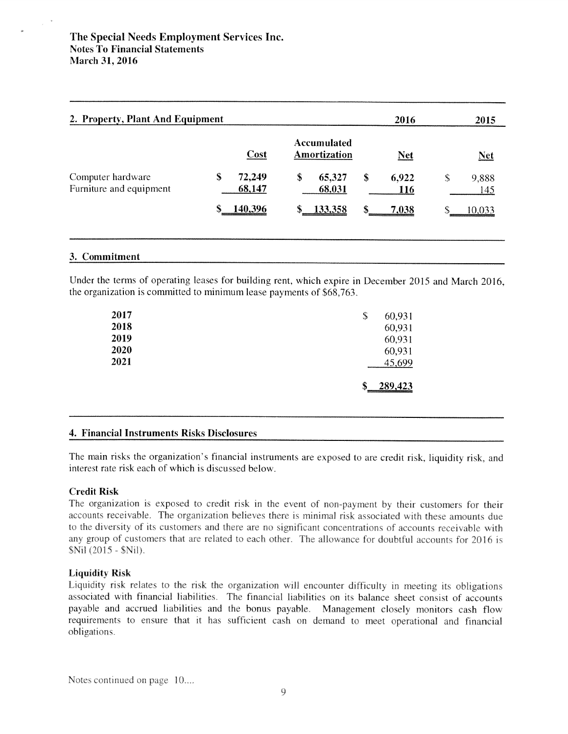| 2. Property, Plant And Equipment             |                        |                             | 2016               | 2015               |
|----------------------------------------------|------------------------|-----------------------------|--------------------|--------------------|
|                                              | Cost                   | Accumulated<br>Amortization | <b>Net</b>         | <b>Net</b>         |
| Computer hardware<br>Furniture and equipment | \$<br>72,249<br>68,147 | \$<br>65,327<br>68,031      | \$<br>6,922<br>116 | \$<br>9,888<br>145 |
|                                              | 140,396                | 133,358                     | S<br>7,038         | 10,033             |

#### 3. Commitment

Under the terms of operating leases for building rent, which expire in December 2015 and March 2016, the organization is committed to minimum lease payments of \$68,763.

| 2017 | \$<br>60,931  |
|------|---------------|
| 2018 | 60,931        |
| 2019 | 60,931        |
| 2020 | 60,931        |
| 2021 | 45,699        |
|      | 289,423<br>\$ |

## 4. Financial Instruments Risks Disclosures

The main risks the organization's financial instruments are expose<sup>d</sup> to are credit risk, liquidity risk, and interest rate risk each of which is discussed below.

## Credit Risk

The organization is exposed to credit risk in the event of non-payment by their customers for their accounts receivable. The organization believes there is minimal risk associated with these amounts due to the diversity of its customers and there are no significant concentrations of accounts receivable with any group of customers that are related to each other. The allowance for doubtful accounts for 2016 is \$Nil (2015 - \$Nil).

#### Liquidity Risk

Liquidity risk relates to the risk the organization will encounter difficulty in meeting its obligations associated with financial liabilities. The financial liabilities on its balance sheet consist of accounts payable and accrued liabilities and the bonus payable. Management closely monitors cash flow requirements to ensure that it has sufficient cash on demand to meet operational and financial obligations.